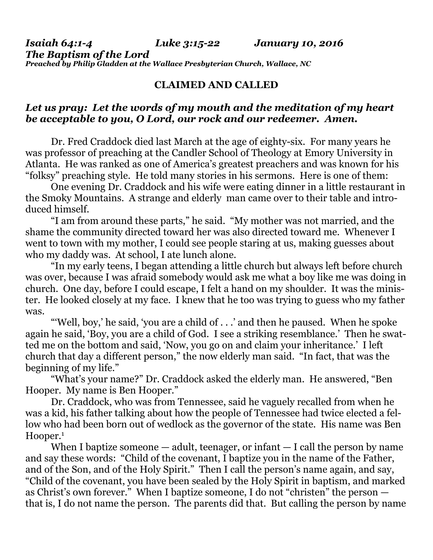*Isaiah 64:1-4 Luke 3:15-22 January 10, 2016 The Baptism of the Lord Preached by Philip Gladden at the Wallace Presbyterian Church, Wallace, NC* 

## **CLAIMED AND CALLED**

## *Let us pray: Let the words of my mouth and the meditation of my heart be acceptable to you, O Lord, our rock and our redeemer. Amen.*

Dr. Fred Craddock died last March at the age of eighty-six. For many years he was professor of preaching at the Candler School of Theology at Emory University in Atlanta. He was ranked as one of America's greatest preachers and was known for his "folksy" preaching style. He told many stories in his sermons. Here is one of them:

 One evening Dr. Craddock and his wife were eating dinner in a little restaurant in the Smoky Mountains. A strange and elderly man came over to their table and introduced himself.

 "I am from around these parts," he said. "My mother was not married, and the shame the community directed toward her was also directed toward me. Whenever I went to town with my mother, I could see people staring at us, making guesses about who my daddy was. At school, I ate lunch alone.

 "In my early teens, I began attending a little church but always left before church was over, because I was afraid somebody would ask me what a boy like me was doing in church. One day, before I could escape, I felt a hand on my shoulder. It was the minister. He looked closely at my face. I knew that he too was trying to guess who my father was.

 "'Well, boy,' he said, 'you are a child of . . .' and then he paused. When he spoke again he said, 'Boy, you are a child of God. I see a striking resemblance.' Then he swatted me on the bottom and said, 'Now, you go on and claim your inheritance.' I left church that day a different person," the now elderly man said. "In fact, that was the beginning of my life."

 "What's your name?" Dr. Craddock asked the elderly man. He answered, "Ben Hooper. My name is Ben Hooper."

 Dr. Craddock, who was from Tennessee, said he vaguely recalled from when he was a kid, his father talking about how the people of Tennessee had twice elected a fellow who had been born out of wedlock as the governor of the state. His name was Ben Hooper.<sup>1</sup>

When I baptize some one  $-$  adult, teenager, or infant  $-$  I call the person by name and say these words: "Child of the covenant, I baptize you in the name of the Father, and of the Son, and of the Holy Spirit." Then I call the person's name again, and say, "Child of the covenant, you have been sealed by the Holy Spirit in baptism, and marked as Christ's own forever." When I baptize someone, I do not "christen" the person that is, I do not name the person. The parents did that. But calling the person by name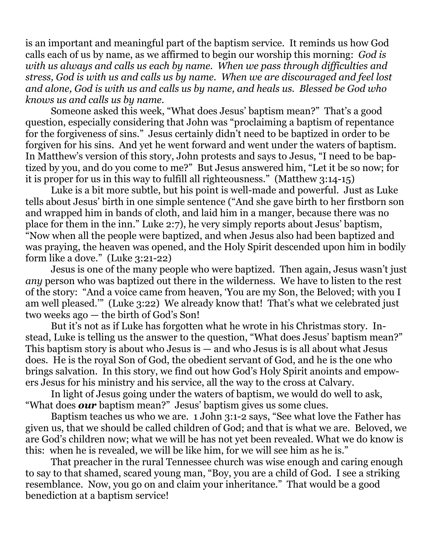is an important and meaningful part of the baptism service. It reminds us how God calls each of us by name, as we affirmed to begin our worship this morning: *God is with us always and calls us each by name. When we pass through difficulties and stress, God is with us and calls us by name. When we are discouraged and feel lost and alone, God is with us and calls us by name, and heals us. Blessed be God who knows us and calls us by name.*

Someone asked this week, "What does Jesus' baptism mean?" That's a good question, especially considering that John was "proclaiming a baptism of repentance for the forgiveness of sins." Jesus certainly didn't need to be baptized in order to be forgiven for his sins. And yet he went forward and went under the waters of baptism. In Matthew's version of this story, John protests and says to Jesus, "I need to be baptized by you, and do you come to me?" But Jesus answered him, "Let it be so now; for it is proper for us in this way to fulfill all righteousness." (Matthew 3:14-15)

 Luke is a bit more subtle, but his point is well-made and powerful. Just as Luke tells about Jesus' birth in one simple sentence ("And she gave birth to her firstborn son and wrapped him in bands of cloth, and laid him in a manger, because there was no place for them in the inn." Luke 2:7), he very simply reports about Jesus' baptism, "Now when all the people were baptized, and when Jesus also had been baptized and was praying, the heaven was opened, and the Holy Spirit descended upon him in bodily form like a dove." (Luke 3:21-22)

 Jesus is one of the many people who were baptized. Then again, Jesus wasn't just *any* person who was baptized out there in the wilderness. We have to listen to the rest of the story: "And a voice came from heaven, 'You are my Son, the Beloved; with you I am well pleased.'" (Luke 3:22) We already know that! That's what we celebrated just two weeks ago — the birth of God's Son!

 But it's not as if Luke has forgotten what he wrote in his Christmas story. Instead, Luke is telling us the answer to the question, "What does Jesus' baptism mean?" This baptism story is about who Jesus is — and who Jesus is is all about what Jesus does. He is the royal Son of God, the obedient servant of God, and he is the one who brings salvation. In this story, we find out how God's Holy Spirit anoints and empowers Jesus for his ministry and his service, all the way to the cross at Calvary.

 In light of Jesus going under the waters of baptism, we would do well to ask, "What does *our* baptism mean?" Jesus' baptism gives us some clues.

 Baptism teaches us who we are. 1 John 3:1-2 says, "See what love the Father has given us, that we should be called children of God; and that is what we are. Beloved, we are God's children now; what we will be has not yet been revealed. What we do know is this: when he is revealed, we will be like him, for we will see him as he is."

 That preacher in the rural Tennessee church was wise enough and caring enough to say to that shamed, scared young man, "Boy, you are a child of God. I see a striking resemblance. Now, you go on and claim your inheritance." That would be a good benediction at a baptism service!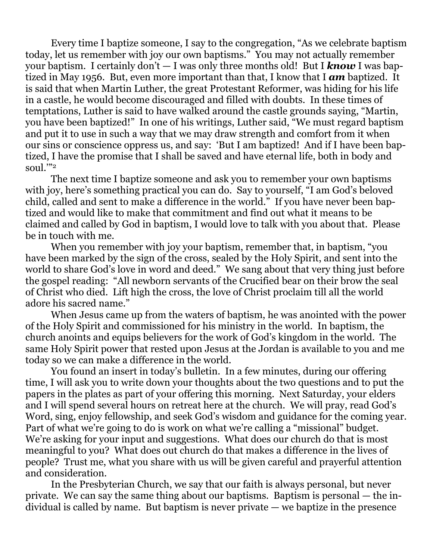Every time I baptize someone, I say to the congregation, "As we celebrate baptism today, let us remember with joy our own baptisms." You may not actually remember your baptism. I certainly don't — I was only three months old! But I *know* I was baptized in May 1956. But, even more important than that, I know that I *am* baptized. It is said that when Martin Luther, the great Protestant Reformer, was hiding for his life in a castle, he would become discouraged and filled with doubts. In these times of temptations, Luther is said to have walked around the castle grounds saying, "Martin, you have been baptized!" In one of his writings, Luther said, "We must regard baptism and put it to use in such a way that we may draw strength and comfort from it when our sins or conscience oppress us, and say: 'But I am baptized! And if I have been baptized, I have the promise that I shall be saved and have eternal life, both in body and soul.'"2

The next time I baptize someone and ask you to remember your own baptisms with joy, here's something practical you can do. Say to yourself, "I am God's beloved child, called and sent to make a difference in the world." If you have never been baptized and would like to make that commitment and find out what it means to be claimed and called by God in baptism, I would love to talk with you about that. Please be in touch with me.

 When you remember with joy your baptism, remember that, in baptism, "you have been marked by the sign of the cross, sealed by the Holy Spirit, and sent into the world to share God's love in word and deed." We sang about that very thing just before the gospel reading: "All newborn servants of the Crucified bear on their brow the seal of Christ who died. Lift high the cross, the love of Christ proclaim till all the world adore his sacred name."

 When Jesus came up from the waters of baptism, he was anointed with the power of the Holy Spirit and commissioned for his ministry in the world. In baptism, the church anoints and equips believers for the work of God's kingdom in the world. The same Holy Spirit power that rested upon Jesus at the Jordan is available to you and me today so we can make a difference in the world.

 You found an insert in today's bulletin. In a few minutes, during our offering time, I will ask you to write down your thoughts about the two questions and to put the papers in the plates as part of your offering this morning. Next Saturday, your elders and I will spend several hours on retreat here at the church. We will pray, read God's Word, sing, enjoy fellowship, and seek God's wisdom and guidance for the coming year. Part of what we're going to do is work on what we're calling a "missional" budget. We're asking for your input and suggestions. What does our church do that is most meaningful to you? What does out church do that makes a difference in the lives of people? Trust me, what you share with us will be given careful and prayerful attention and consideration.

 In the Presbyterian Church, we say that our faith is always personal, but never private. We can say the same thing about our baptisms. Baptism is personal — the individual is called by name. But baptism is never private — we baptize in the presence